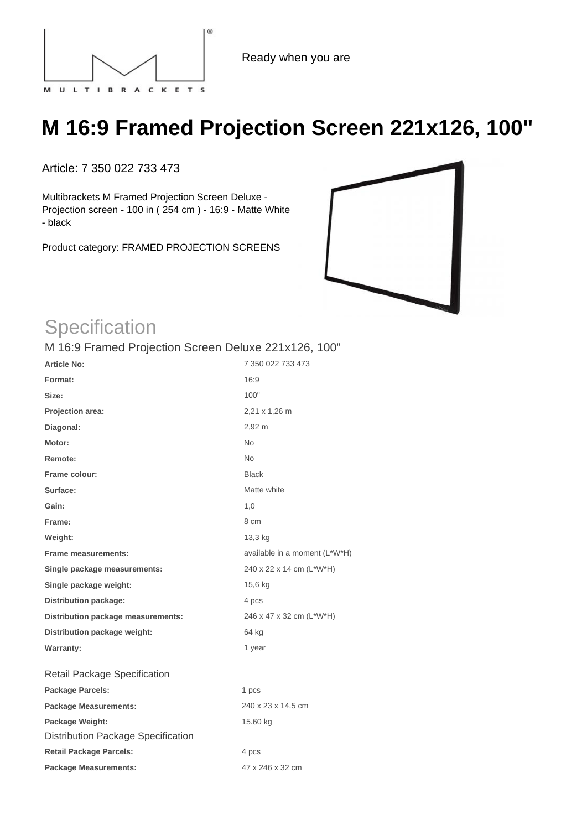

Ready when you are

## **M 16:9 Framed Projection Screen 221x126, 100"**

Article: 7 350 022 733 473

Multibrackets M Framed Projection Screen Deluxe - Projection screen - 100 in ( 254 cm ) - 16:9 - Matte White - black

Product category: FRAMED PROJECTION SCREENS



## **Specification**

## M 16:9 Framed Projection Screen Deluxe 221x126, 100"

| <b>Article No:</b>                        | 7 350 022 733 473             |
|-------------------------------------------|-------------------------------|
| Format:                                   | 16:9                          |
| Size:                                     | 100"                          |
| Projection area:                          | 2,21 x 1,26 m                 |
| Diagonal:                                 | 2,92 m                        |
| Motor:                                    | <b>No</b>                     |
| Remote:                                   | <b>No</b>                     |
| Frame colour:                             | <b>Black</b>                  |
| Surface:                                  | Matte white                   |
| Gain:                                     | 1,0                           |
| Frame:                                    | 8 cm                          |
| Weight:                                   | 13,3 kg                       |
| <b>Frame measurements:</b>                | available in a moment (L*W*H) |
| Single package measurements:              | 240 x 22 x 14 cm (L*W*H)      |
| Single package weight:                    | 15,6 kg                       |
| <b>Distribution package:</b>              | 4 pcs                         |
| Distribution package measurements:        | 246 x 47 x 32 cm (L*W*H)      |
| Distribution package weight:              | 64 kg                         |
| <b>Warranty:</b>                          | 1 year                        |
| <b>Retail Package Specification</b>       |                               |
| <b>Package Parcels:</b>                   | 1 pcs                         |
| <b>Package Measurements:</b>              | 240 x 23 x 14.5 cm            |
| Package Weight:                           | 15.60 kg                      |
| <b>Distribution Package Specification</b> |                               |
| <b>Retail Package Parcels:</b>            | 4 pcs                         |
| <b>Package Measurements:</b>              | 47 x 246 x 32 cm              |
|                                           |                               |